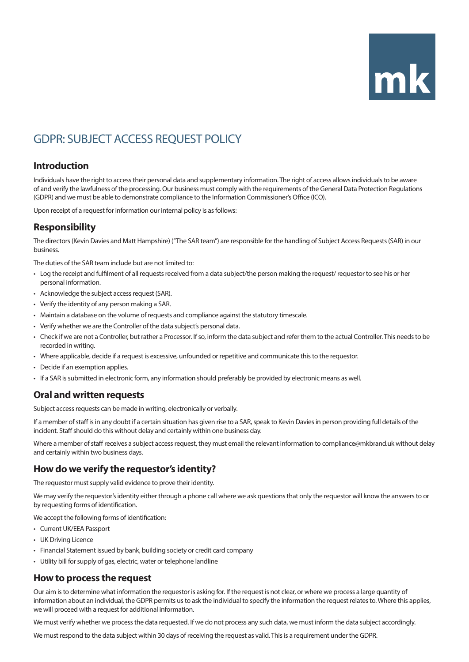# $mk$

# GDPR: SUBJECT ACCESS REQUEST POLICY

# **Introduction**

Individuals have the right to access their personal data and supplementary information. The right of access allows individuals to be aware of and verify the lawfulness of the processing. Our business must comply with the requirements of the General Data Protection Regulations (GDPR) and we must be able to demonstrate compliance to the Information Commissioner's Office (ICO).

Upon receipt of a request for information our internal policy is as follows:

# **Responsibility**

The directors (Kevin Davies and Matt Hampshire) ("The SAR team") are responsible for the handling of Subject Access Requests (SAR) in our business.

The duties of the SAR team include but are not limited to:

- Log the receipt and fulfilment of all requests received from a data subject/the person making the request/ requestor to see his or her personal information.
- Acknowledge the subject access request (SAR).
- Verify the identity of any person making a SAR.
- Maintain a database on the volume of requests and compliance against the statutory timescale.
- Verify whether we are the Controller of the data subject's personal data.
- Check if we are not a Controller, but rather a Processor. If so, inform the data subject and refer them to the actual Controller. This needs to be recorded in writing.
- Where applicable, decide if a request is excessive, unfounded or repetitive and communicate this to the requestor.
- Decide if an exemption applies.
- If a SAR is submitted in electronic form, any information should preferably be provided by electronic means as well.

# **Oral and written requests**

Subject access requests can be made in writing, electronically or verbally.

If a member of staff is in any doubt if a certain situation has given rise to a SAR, speak to Kevin Davies in person providing full details of the incident. Staff should do this without delay and certainly within one business day.

Where a member of staff receives a subject access request, they must email the relevant information to compliance@mkbrand.uk without delay and certainly within two business days.

# **How do we verify the requestor's identity?**

The requestor must supply valid evidence to prove their identity.

We may verify the requestor's identity either through a phone call where we ask questions that only the requestor will know the answers to or by requesting forms of identification.

We accept the following forms of identification:

- Current UK/EEA Passport
- UK Driving Licence
- Financial Statement issued by bank, building society or credit card company
- Utility bill for supply of gas, electric, water or telephone landline

#### **How to process the request**

Our aim is to determine what information the requestor is asking for. If the request is not clear, or where we process a large quantity of information about an individual, the GDPR permits us to ask the individual to specify the information the request relates to. Where this applies, we will proceed with a request for additional information.

We must verify whether we process the data requested. If we do not process any such data, we must inform the data subject accordingly.

We must respond to the data subject within 30 days of receiving the request as valid. This is a requirement under the GDPR.